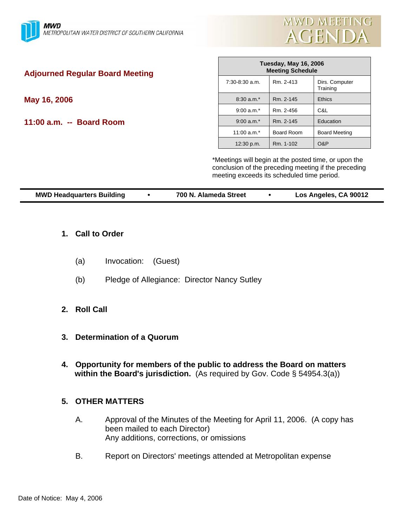

| <b>Adjourned Regular Board Meeting</b> | <b>Tuesday, May 16, 2006</b><br><b>Meeting Schedule</b>                                            |            |                                                      |  |
|----------------------------------------|----------------------------------------------------------------------------------------------------|------------|------------------------------------------------------|--|
|                                        | $7:30-8:30$ a.m.                                                                                   | Rm. 2-413  | Dirs. Computer<br>Training                           |  |
| May 16, 2006                           | $8:30$ a.m. <sup>*</sup>                                                                           | Rm. 2-145  | <b>Ethics</b>                                        |  |
|                                        | $9:00$ a.m. <sup>*</sup>                                                                           | Rm. 2-456  | C&L                                                  |  |
| 11:00 a.m. -- Board Room               | $9:00$ a.m. <sup>*</sup>                                                                           | Rm. 2-145  | Education                                            |  |
|                                        | 11:00 $a.m.*$                                                                                      | Board Room | <b>Board Meeting</b>                                 |  |
|                                        | 12:30 p.m.                                                                                         | Rm. 1-102  | O&P                                                  |  |
|                                        | *Meetings will begin at the posted time, or upon the<br>meeting exceeds its scheduled time period. |            | conclusion of the preceding meeting if the preceding |  |

| <b>MWD Headquarters Building</b> |  | 700 N. Alameda Street |  | Los Angeles, CA 90012 |
|----------------------------------|--|-----------------------|--|-----------------------|
|----------------------------------|--|-----------------------|--|-----------------------|

- **1. Call to Order**
	- (a) Invocation: (Guest)
	- (b) Pledge of Allegiance: Director Nancy Sutley
- **2. Roll Call**
- **3. Determination of a Quorum**
- **4. Opportunity for members of the public to address the Board on matters within the Board's jurisdiction.** (As required by Gov. Code § 54954.3(a))
- **5. OTHER MATTERS**
	- A. Approval of the Minutes of the Meeting for April 11, 2006. (A copy has been mailed to each Director) Any additions, corrections, or omissions
	- B. Report on Directors' meetings attended at Metropolitan expense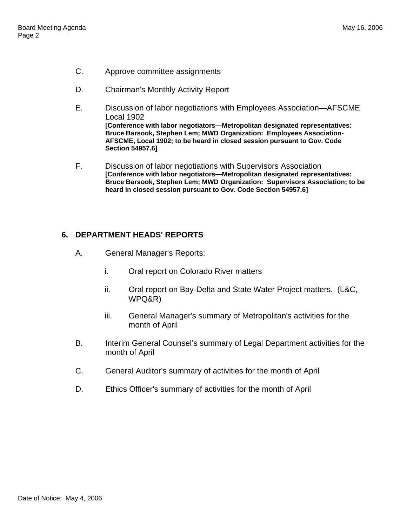- C. Approve committee assignments
- D. Chairman's Monthly Activity Report
- E. Discussion of labor negotiations with Employees Association—AFSCME Local 1902 **[Conference with labor negotiators—Metropolitan designated representatives: Bruce Barsook, Stephen Lem; MWD Organization: Employees Association-AFSCME, Local 1902; to be heard in closed session pursuant to Gov. Code Section 54957.6]**
- F. Discussion of labor negotiations with Supervisors Association **[Conference with labor negotiators—Metropolitan designated representatives: Bruce Barsook, Stephen Lem; MWD Organization: Supervisors Association; to be heard in closed session pursuant to Gov. Code Section 54957.6]**

## **6. DEPARTMENT HEADS' REPORTS**

- A. General Manager's Reports:
	- i. Oral report on Colorado River matters
	- ii. Oral report on Bay-Delta and State Water Project matters. (L&C, WPQ&R)
	- iii. General Manager's summary of Metropolitan's activities for the month of April
- B. Interim General Counsel's summary of Legal Department activities for the month of April
- C. General Auditor's summary of activities for the month of April
- D. Ethics Officer's summary of activities for the month of April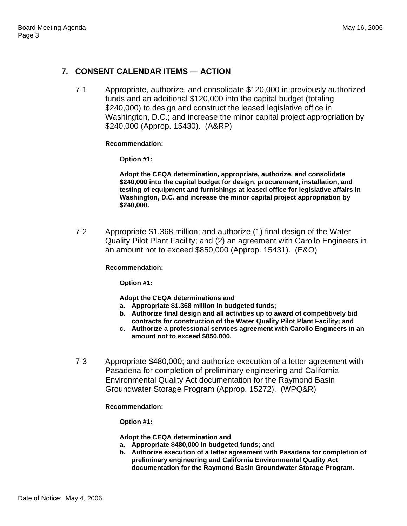# **7. CONSENT CALENDAR ITEMS — ACTION**

7-1 Appropriate, authorize, and consolidate \$120,000 in previously authorized funds and an additional \$120,000 into the capital budget (totaling \$240,000) to design and construct the leased legislative office in Washington, D.C.; and increase the minor capital project appropriation by \$240,000 (Approp. 15430). (A&RP)

## **Recommendation:**

**Option #1:** 

**Adopt the CEQA determination, appropriate, authorize, and consolidate \$240,000 into the capital budget for design, procurement, installation, and testing of equipment and furnishings at leased office for legislative affairs in Washington, D.C. and increase the minor capital project appropriation by \$240,000.**

7-2 Appropriate \$1.368 million; and authorize (1) final design of the Water Quality Pilot Plant Facility; and (2) an agreement with Carollo Engineers in an amount not to exceed \$850,000 (Approp. 15431). (E&O)

## **Recommendation:**

**Option #1:** 

**Adopt the CEQA determinations and** 

- **a. Appropriate \$1.368 million in budgeted funds;**
- **b. Authorize final design and all activities up to award of competitively bid contracts for construction of the Water Quality Pilot Plant Facility; and**
- **c. Authorize a professional services agreement with Carollo Engineers in an amount not to exceed \$850,000.**
- 7-3 Appropriate \$480,000; and authorize execution of a letter agreement with Pasadena for completion of preliminary engineering and California Environmental Quality Act documentation for the Raymond Basin Groundwater Storage Program (Approp. 15272). (WPQ&R)

## **Recommendation:**

**Option #1:** 

**Adopt the CEQA determination and** 

- **a. Appropriate \$480,000 in budgeted funds; and**
- **b. Authorize execution of a letter agreement with Pasadena for completion of preliminary engineering and California Environmental Quality Act documentation for the Raymond Basin Groundwater Storage Program.**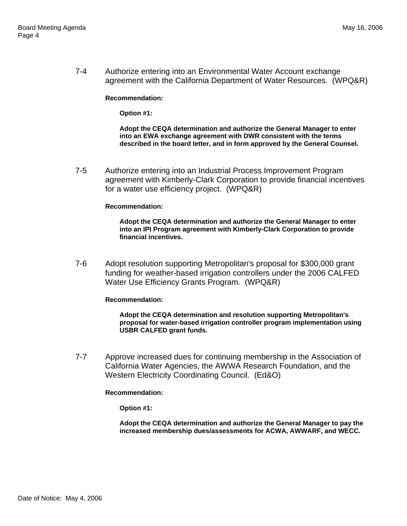7-4 Authorize entering into an Environmental Water Account exchange agreement with the California Department of Water Resources. (WPQ&R)

**Recommendation:** 

**Option #1:** 

**Adopt the CEQA determination and authorize the General Manager to enter into an EWA exchange agreement with DWR consistent with the terms described in the board letter, and in form approved by the General Counsel.**

7-5 Authorize entering into an Industrial Process Improvement Program agreement with Kimberly-Clark Corporation to provide financial incentives for a water use efficiency project. (WPQ&R)

### **Recommendation:**

**Adopt the CEQA determination and authorize the General Manager to enter into an IPI Program agreement with Kimberly-Clark Corporation to provide financial incentives.**

7-6 Adopt resolution supporting Metropolitan's proposal for \$300,000 grant funding for weather-based irrigation controllers under the 2006 CALFED Water Use Efficiency Grants Program. (WPQ&R)

#### **Recommendation:**

**Adopt the CEQA determination and resolution supporting Metropolitan's proposal for water-based irrigation controller program implementation using USBR CALFED grant funds.**

7-7 Approve increased dues for continuing membership in the Association of California Water Agencies, the AWWA Research Foundation, and the Western Electricity Coordinating Council. (Ed&O)

### **Recommendation:**

**Option #1:** 

**Adopt the CEQA determination and authorize the General Manager to pay the increased membership dues/assessments for ACWA, AWWARF, and WECC.**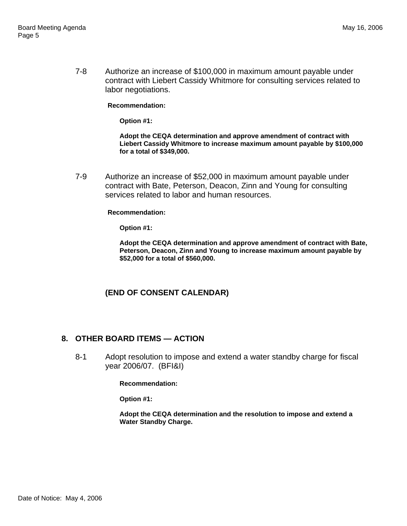7-8 Authorize an increase of \$100,000 in maximum amount payable under contract with Liebert Cassidy Whitmore for consulting services related to labor negotiations.

**Recommendation:** 

**Option #1:** 

**Adopt the CEQA determination and approve amendment of contract with Liebert Cassidy Whitmore to increase maximum amount payable by \$100,000 for a total of \$349,000.** 

7-9 Authorize an increase of \$52,000 in maximum amount payable under contract with Bate, Peterson, Deacon, Zinn and Young for consulting services related to labor and human resources.

**Recommendation:** 

**Option #1:** 

**Adopt the CEQA determination and approve amendment of contract with Bate, Peterson, Deacon, Zinn and Young to increase maximum amount payable by \$52,000 for a total of \$560,000.** 

# **(END OF CONSENT CALENDAR)**

## **8. OTHER BOARD ITEMS — ACTION**

8-1 Adopt resolution to impose and extend a water standby charge for fiscal year 2006/07. (BFI&I)

**Recommendation:** 

**Option #1:** 

**Adopt the CEQA determination and the resolution to impose and extend a Water Standby Charge.**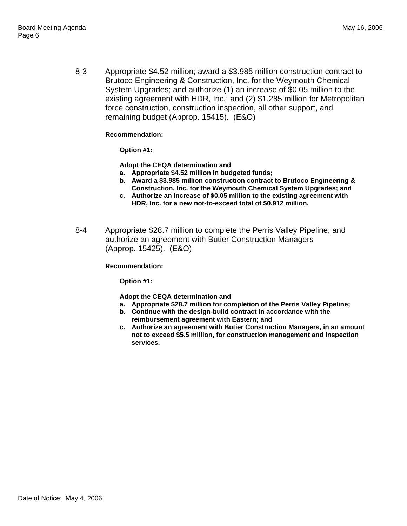8-3 Appropriate \$4.52 million; award a \$3.985 million construction contract to Brutoco Engineering & Construction, Inc. for the Weymouth Chemical System Upgrades; and authorize (1) an increase of \$0.05 million to the existing agreement with HDR, Inc.; and (2) \$1.285 million for Metropolitan force construction, construction inspection, all other support, and remaining budget (Approp. 15415). (E&O)

**Recommendation:** 

**Option #1:** 

**Adopt the CEQA determination and**

- **a. Appropriate \$4.52 million in budgeted funds;**
- **b. Award a \$3.985 million construction contract to Brutoco Engineering & Construction, Inc. for the Weymouth Chemical System Upgrades; and**
- **c. Authorize an increase of \$0.05 million to the existing agreement with HDR, Inc. for a new not-to-exceed total of \$0.912 million.**
- 8-4 Appropriate \$28.7 million to complete the Perris Valley Pipeline; and authorize an agreement with Butier Construction Managers (Approp. 15425). (E&O)

**Recommendation:** 

**Option #1:** 

**Adopt the CEQA determination and**

- **a. Appropriate \$28.7 million for completion of the Perris Valley Pipeline;**
- **b. Continue with the design-build contract in accordance with the reimbursement agreement with Eastern; and**
- **c. Authorize an agreement with Butier Construction Managers, in an amount not to exceed \$5.5 million, for construction management and inspection services.**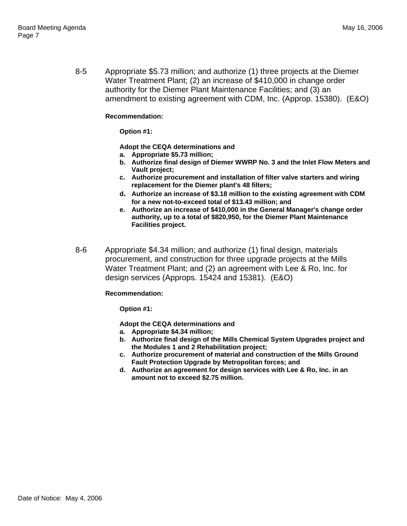8-5 Appropriate \$5.73 million; and authorize (1) three projects at the Diemer Water Treatment Plant; (2) an increase of \$410,000 in change order authority for the Diemer Plant Maintenance Facilities; and (3) an amendment to existing agreement with CDM, Inc. (Approp. 15380). (E&O)

### **Recommendation:**

### **Option #1:**

**Adopt the CEQA determinations and**

- **a. Appropriate \$5.73 million;**
- **b. Authorize final design of Diemer WWRP No. 3 and the Inlet Flow Meters and Vault project;**
- **c. Authorize procurement and installation of filter valve starters and wiring replacement for the Diemer plant's 48 filters;**
- **d. Authorize an increase of \$3.18 million to the existing agreement with CDM for a new not-to-exceed total of \$13.43 million; and**
- **e. Authorize an increase of \$410,000 in the General Manager's change order authority, up to a total of \$820,950, for the Diemer Plant Maintenance Facilities project.**
- 8-6 Appropriate \$4.34 million; and authorize (1) final design, materials procurement, and construction for three upgrade projects at the Mills Water Treatment Plant; and (2) an agreement with Lee & Ro, Inc. for design services (Approps. 15424 and 15381). (E&O)

## **Recommendation:**

**Option #1:** 

**Adopt the CEQA determinations and**

- **a. Appropriate \$4.34 million;**
- **b. Authorize final design of the Mills Chemical System Upgrades project and the Modules 1 and 2 Rehabilitation project;**
- **c. Authorize procurement of material and construction of the Mills Ground Fault Protection Upgrade by Metropolitan forces; and**
- **d. Authorize an agreement for design services with Lee & Ro, Inc. in an amount not to exceed \$2.75 million.**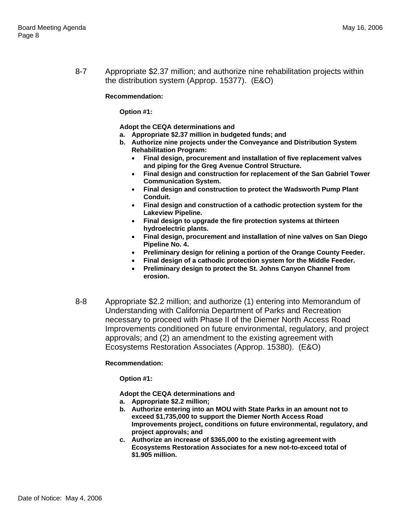8-7 Appropriate \$2.37 million; and authorize nine rehabilitation projects within the distribution system (Approp. 15377). (E&O)

### **Recommendation:**

**Option #1:** 

**Adopt the CEQA determinations and** 

- **a. Appropriate \$2.37 million in budgeted funds; and**
- **b. Authorize nine projects under the Conveyance and Distribution System Rehabilitation Program:** 
	- **Final design, procurement and installation of five replacement valves and piping for the Greg Avenue Control Structure.**
	- **Final design and construction for replacement of the San Gabriel Tower Communication System.**
	- **Final design and construction to protect the Wadsworth Pump Plant Conduit.**
	- **Final design and construction of a cathodic protection system for the Lakeview Pipeline.**
	- **Final design to upgrade the fire protection systems at thirteen hydroelectric plants.**
	- **Final design, procurement and installation of nine valves on San Diego Pipeline No. 4.**
	- **Preliminary design for relining a portion of the Orange County Feeder.**
	- **Final design of a cathodic protection system for the Middle Feeder.**
	- **Preliminary design to protect the St. Johns Canyon Channel from erosion.**
- 8-8 Appropriate \$2.2 million; and authorize (1) entering into Memorandum of Understanding with California Department of Parks and Recreation necessary to proceed with Phase II of the Diemer North Access Road Improvements conditioned on future environmental, regulatory, and project approvals; and (2) an amendment to the existing agreement with Ecosystems Restoration Associates (Approp. 15380). (E&O)

## **Recommendation:**

**Option #1:** 

**Adopt the CEQA determinations and** 

- **a. Appropriate \$2.2 million;**
- **b. Authorize entering into an MOU with State Parks in an amount not to exceed \$1,735,000 to support the Diemer North Access Road Improvements project, conditions on future environmental, regulatory, and project approvals; and**
- **c. Authorize an increase of \$365,000 to the existing agreement with Ecosystems Restoration Associates for a new not-to-exceed total of \$1.905 million.**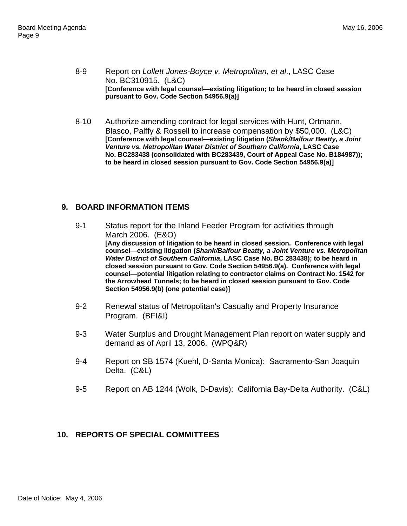- 8-9 Report on *Lollett Jones-Boyce v. Metropolitan, et al*., LASC Case No. BC310915. (L&C) **[Conference with legal counsel—existing litigation; to be heard in closed session pursuant to Gov. Code Section 54956.9(a)]**
- 8-10 Authorize amending contract for legal services with Hunt, Ortmann, Blasco, Palffy & Rossell to increase compensation by \$50,000. (L&C) **[Conference with legal counsel—existing litigation (***Shank/Balfour Beatty, a Joint Venture vs. Metropolitan Water District of Southern California***, LASC Case No. BC283438 (consolidated with BC283439, Court of Appeal Case No. B184987)); to be heard in closed session pursuant to Gov. Code Section 54956.9(a)]**

# **9. BOARD INFORMATION ITEMS**

- 9-1 Status report for the Inland Feeder Program for activities through March 2006. (E&O) **[Any discussion of litigation to be heard in closed session. Conference with legal counsel—existing litigation (***Shank/Balfour Beatty, a Joint Venture vs. Metropolitan Water District of Southern California***, LASC Case No. BC 283438); to be heard in closed session pursuant to Gov. Code Section 54956.9(a). Conference with legal counsel—potential litigation relating to contractor claims on Contract No. 1542 for the Arrowhead Tunnels; to be heard in closed session pursuant to Gov. Code Section 54956.9(b) (one potential case)]**
- 9-2 Renewal status of Metropolitan's Casualty and Property Insurance Program. (BFI&I)
- 9-3 Water Surplus and Drought Management Plan report on water supply and demand as of April 13, 2006. (WPQ&R)
- 9-4 Report on SB 1574 (Kuehl, D-Santa Monica): Sacramento-San Joaquin Delta. (C&L)
- 9-5 Report on AB 1244 (Wolk, D-Davis): California Bay-Delta Authority. (C&L)

# **10. REPORTS OF SPECIAL COMMITTEES**